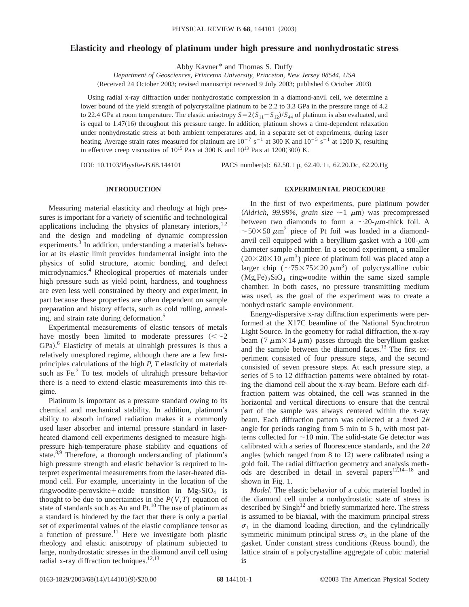# **Elasticity and rheology of platinum under high pressure and nonhydrostatic stress**

Abby Kavner\* and Thomas S. Duffy

*Department of Geosciences, Princeton University, Princeton, New Jersey 08544, USA* (Received 24 October 2003; revised manuscript received 9 July 2003; published 6 October 2003)

Using radial x-ray diffraction under nonhydrostatic compression in a diamond-anvil cell, we determine a lower bound of the yield strength of polycrystalline platinum to be 2.2 to 3.3 GPa in the pressure range of 4.2 to 22.4 GPa at room temperature. The elastic anisotropy  $S = 2(S_{11} - S_{12})/S_{44}$  of platinum is also evaluated, and is equal to  $1.47(16)$  throughout this pressure range. In addition, platinum shows a time-dependent relaxation under nonhydrostatic stress at both ambient temperatures and, in a separate set of experiments, during laser heating. Average strain rates measured for platinum are  $10^{-7}$  s<sup>-1</sup> at 300 K and  $10^{-5}$  s<sup>-1</sup> at 1200 K, resulting in effective creep viscosities of  $10^{15}$  Pa s at 300 K and  $10^{13}$  Pa s at 1200(300) K.

DOI: 10.1103/PhysRevB.68.144101 PACS number(s): 62.50.+p, 62.40.+i, 62.20.Dc, 62.20.Hg

## **INTRODUCTION**

Measuring material elasticity and rheology at high pressures is important for a variety of scientific and technological applications including the physics of planetary interiors, $1,2$ and the design and modeling of dynamic compression experiments.<sup>3</sup> In addition, understanding a material's behavior at its elastic limit provides fundamental insight into the physics of solid structure, atomic bonding, and defect microdynamics.4 Rheological properties of materials under high pressure such as yield point, hardness, and toughness are even less well constrained by theory and experiment, in part because these properties are often dependent on sample preparation and history effects, such as cold rolling, annealing, and strain rate during deformation.<sup>5</sup>

Experimental measurements of elastic tensors of metals have mostly been limited to moderate pressures  $\left(<\sim 2\right)$ GPa).<sup>6</sup> Elasticity of metals at ultrahigh pressures is thus a relatively unexplored regime, although there are a few firstprinciples calculations of the high *P, T* elasticity of materials such as  $Fe<sup>7</sup>$  To test models of ultrahigh pressure behavior there is a need to extend elastic measurements into this regime.

Platinum is important as a pressure standard owing to its chemical and mechanical stability. In addition, platinum's ability to absorb infrared radiation makes it a commonly used laser absorber and internal pressure standard in laserheated diamond cell experiments designed to measure highpressure high-temperature phase stability and equations of state.<sup>8,9</sup> Therefore, a thorough understanding of platinum's high pressure strength and elastic behavior is required to interpret experimental measurements from the laser-heated diamond cell. For example, uncertainty in the location of the ringwoodite-perovskite+oxide transition in  $Mg_2SiO_4$  is thought to be due to uncertainties in the  $P(V,T)$  equation of state of standards such as Au and  $Pt<sup>10</sup>$ . The use of platinum as a standard is hindered by the fact that there is only a partial set of experimental values of the elastic compliance tensor as a function of pressure.<sup>11</sup> Here we investigate both plastic rheology and elastic anisotropy of platinum subjected to large, nonhydrostatic stresses in the diamond anvil cell using radial x-ray diffraction techniques.<sup>12,13</sup>

## **EXPERIMENTAL PROCEDURE**

In the first of two experiments, pure platinum powder (Aldrich, 99.99%, grain size  $\sim$ 1  $\mu$ m) was precompressed between two diamonds to form a  $\sim$ 20- $\mu$ m-thick foil. A  $\sim$  50×50  $\mu$ m<sup>2</sup> piece of Pt foil was loaded in a diamondanvil cell equipped with a beryllium gasket with a  $100-\mu m$ diameter sample chamber. In a second experiment, a smaller  $(20\times20\times10 \ \mu m^3)$  piece of platinum foil was placed atop a larger chip ( $\sim$ 75×75×20  $\mu$ m<sup>3</sup>) of polycrystalline cubic  $(Mg,Fe)_2SiO_4$  ringwoodite within the same sized sample chamber. In both cases, no pressure transmitting medium was used, as the goal of the experiment was to create a nonhydrostatic sample environment.

Energy-dispersive x-ray diffraction experiments were performed at the X17C beamline of the National Synchrotron Light Source. In the geometry for radial diffraction, the x-ray beam (7  $\mu$ m×14  $\mu$ m) passes through the beryllium gasket and the sample between the diamond faces.<sup>13</sup> The first experiment consisted of four pressure steps, and the second consisted of seven pressure steps. At each pressure step, a series of 5 to 12 diffraction patterns were obtained by rotating the diamond cell about the x-ray beam. Before each diffraction pattern was obtained, the cell was scanned in the horizontal and vertical directions to ensure that the central part of the sample was always centered within the x-ray beam. Each diffraction pattern was collected at a fixed  $2\theta$ angle for periods ranging from 5 min to 5 h, with most patterns collected for  $\sim$ 10 min. The solid-state Ge detector was calibrated with a series of fluorescence standards, and the  $2\theta$ angles (which ranged from  $8$  to 12) were calibrated using a gold foil. The radial diffraction geometry and analysis methods are described in detail in several papers $12,14-18$  and shown in Fig. 1.

*Model*. The elastic behavior of a cubic material loaded in the diamond cell under a nonhydrostatic state of stress is described by  $\text{Sing}h^{12}$  and briefly summarized here. The stress is assumed to be biaxial, with the maximum principal stress  $\sigma_1$  in the diamond loading direction, and the cylindrically symmetric minimum principal stress  $\sigma_3$  in the plane of the gasket. Under constant stress conditions (Reuss bound), the lattice strain of a polycrystalline aggregate of cubic material is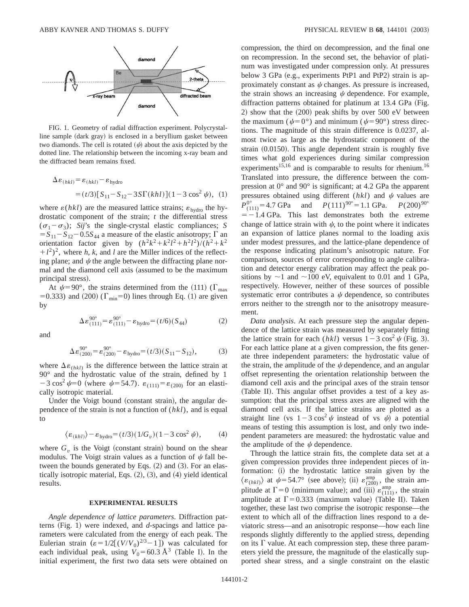

FIG. 1. Geometry of radial diffraction experiment. Polycrystalline sample (dark gray) is enclosed in a beryllium gasket between two diamonds. The cell is rotated  $(\psi)$  about the axis depicted by the dotted line. The relationship between the incoming x-ray beam and the diffracted beam remains fixed.

$$
\Delta \varepsilon_{(hkl)} = \varepsilon_{(hkl)} - \varepsilon_{\text{hydro}}
$$
  
=  $(t/3)[S_{11} - S_{12} - 3S\Gamma(khl)](1 - 3\cos^2\psi), (1)$ 

where  $\varepsilon(hkl)$  are the measured lattice strains;  $\varepsilon_{\text{hydro}}$  the hydrostatic component of the strain; *t* the differential stress  $(\sigma_1 - \sigma_3)$ ; *Sij*'s the single-crystal elastic compliances; *S*  $=S_{11}-S_{12}-0.5S_{44}$  a measure of the elastic anisotropy;  $\Gamma$  an orientation factor given by  $(h^2k^2 + k^2l^2 + h^2l^2)/(h^2 + k^2)$  $(l + l^2)^2$ , where *h*, *k*, and *l* are the Miller indices of the reflecting plane; and  $\psi$  the angle between the diffracting plane normal and the diamond cell axis (assumed to be the maximum principal stress).

At  $\psi$ =90°, the strains determined from the (111) ( $\Gamma_{\text{max}}$ ) =0.333) and (200) ( $\Gamma_{\text{min}}$ =0) lines through Eq. (1) are given by

$$
\Delta \varepsilon_{(111)}^{90^{\circ}} = \varepsilon_{(111)}^{90^{\circ}} - \varepsilon_{\text{hydro}} = (t/6)(S_{44})
$$
 (2)

and

$$
\Delta \varepsilon_{(200)}^{90^\circ} = \varepsilon_{(200)}^{90^\circ} - \varepsilon_{\text{hydro}} = (t/3)(S_{11} - S_{12}),\tag{3}
$$

where  $\Delta \varepsilon_{(hkl)}$  is the difference between the lattice strain at 90° and the hydrostatic value of the strain, defined by 1  $-3 \cos^2 \psi = 0$  (where  $\psi = 54.7$ ).  $\varepsilon_{(111)} = \varepsilon_{(200)}$  for an elastically isotropic material.

Under the Voigt bound (constant strain), the angular dependence of the strain is not a function of (*hkl*), and is equal to

$$
\langle \varepsilon_{(khl)} \rangle - \varepsilon_{\text{hydro}} = (t/3)(1/G_v)(1-3\cos^2\psi), \tag{4}
$$

where  $G<sub>v</sub>$  is the Voigt (constant strain) bound on the shear modulus. The Voigt strain values as a function of  $\psi$  fall between the bounds generated by Eqs.  $(2)$  and  $(3)$ . For an elastically isotropic material, Eqs.  $(2)$ ,  $(3)$ , and  $(4)$  yield identical results.

#### **EXPERIMENTAL RESULTS**

*Angle dependence of lattice parameters*. Diffraction patterns (Fig. 1) were indexed, and *d*-spacings and lattice parameters were calculated from the energy of each peak. The Eulerian strain  $(\varepsilon = 1/2[(V/V_0)^{2/3}-1])$  was calculated for each individual peak, using  $V_0 = 60.3 \text{ Å}^3$  (Table I). In the initial experiment, the first two data sets were obtained on compression, the third on decompression, and the final one on recompression. In the second set, the behavior of platinum was investigated under compression only. At pressures below 3 GPa (e.g., experiments PtP1 and PtP2) strain is approximately constant as  $\psi$  changes. As pressure is increased, the strain shows an increasing  $\psi$  dependence. For example, diffraction patterns obtained for platinum at  $13.4$  GPa (Fig. 2) show that the  $(200)$  peak shifts by over 500 eV between the maximum ( $\psi=0^{\circ}$ ) and minimum ( $\psi=90^{\circ}$ ) stress directions. The magnitude of this strain difference is 0.0237, almost twice as large as the hydrostatic component of the strain  $(0.0150)$ . This angle dependent strain is roughly five times what gold experiences during similar compression experiments<sup>15,16</sup> and is comparable to results for rhenium.<sup>16</sup> Translated into pressure, the difference between the compression at 0° and 90° is significant; at 4.2 GPa the apparent pressures obtained using different  $(hkl)$  and  $\psi$  values are  $P_{(111)}^{0^{\circ}} = 4.7$  GPa and  $P(111)^{90^{\circ}} = 1.1$  GPa.  $P(200)^{90^{\circ}}$  $=$  -1.4 GPa. This last demonstrates both the extreme change of lattice strain with  $\psi$ , to the point where it indicates an expansion of lattice planes normal to the loading axis under modest pressures, and the lattice-plane dependence of the response indicating platinum's anisotropic nature. For comparison, sources of error corresponding to angle calibration and detector energy calibration may affect the peak positions by  $\sim$ 1 and  $\sim$ 100 eV, equivalent to 0.01 and 1 GPa, respectively. However, neither of these sources of possible systematic error contributes a  $\psi$  dependence, so contributes errors neither to the strength nor to the anisotropy measurement.

*Data analysis*. At each pressure step the angular dependence of the lattice strain was measured by separately fitting the lattice strain for each  $(hkl)$  versus  $1-3\cos^2\psi$  (Fig. 3). For each lattice plane at a given compression, the fits generate three independent parameters: the hydrostatic value of the strain, the amplitude of the  $\psi$  dependence, and an angular offset representing the orientation relationship between the diamond cell axis and the principal axes of the strain tensor (Table II). This angular offset provides a test of a key assumption: that the principal stress axes are aligned with the diamond cell axis. If the lattice strains are plotted as a straight line (vs  $1-3\cos^2\psi$  instead of vs  $\psi$ ) a potential means of testing this assumption is lost, and only two independent parameters are measured: the hydrostatic value and the amplitude of the  $\psi$  dependence.

Through the lattice strain fits, the complete data set at a given compression provides three independent pieces of information: (i) the hydrostatic lattice strain given by the  $\langle \varepsilon_{(hkl)} \rangle$  at  $\psi$ =54.7° (see above); (ii)  $\varepsilon_{(200)}^{\text{amp}}$ , the strain amplitude at  $\Gamma = 0$  (minimum value); and (iii)  $\varepsilon_{(111)}^{amp}$ , the strain amplitude at  $\Gamma$ =0.333 (maximum value) (Table II). Taken together, these last two comprise the isotropic response—the extent to which all of the diffraction lines respond to a deviatoric stress—and an anisotropic response—how each line responds slightly differently to the applied stress, depending on its  $\Gamma$  value. At each compression step, these three parameters yield the pressure, the magnitude of the elastically supported shear stress, and a single constraint on the elastic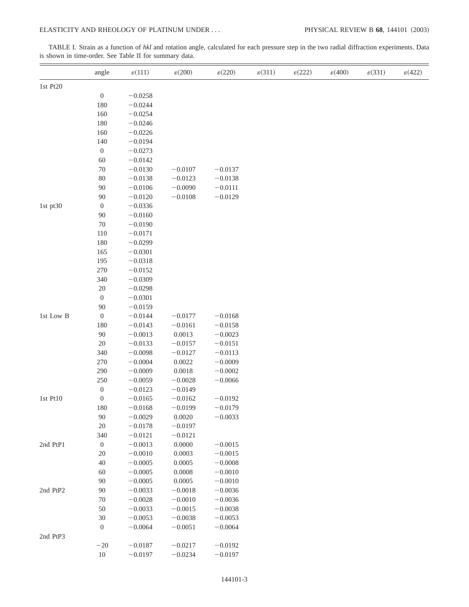TABLE I. Strain as a function of *hkl* and rotation angle, calculated for each pressure step in the two radial diffraction experiments. Data is shown in time-order. See Table II for summary data.

|                                               | angle            | $\epsilon(111)$ | $\varepsilon(200)$ | $\varepsilon(220)$ | $\varepsilon(311)$ | $\varepsilon(222)$ | $\varepsilon(400)$ | $\varepsilon(331)$ | $\epsilon$ (422) |
|-----------------------------------------------|------------------|-----------------|--------------------|--------------------|--------------------|--------------------|--------------------|--------------------|------------------|
| 1st Pt20                                      |                  |                 |                    |                    |                    |                    |                    |                    |                  |
|                                               | $\boldsymbol{0}$ | $-0.0258$       |                    |                    |                    |                    |                    |                    |                  |
|                                               | 180              | $-0.0244$       |                    |                    |                    |                    |                    |                    |                  |
|                                               | 160              | $-0.0254$       |                    |                    |                    |                    |                    |                    |                  |
|                                               | 180              | $-0.0246$       |                    |                    |                    |                    |                    |                    |                  |
|                                               | 160              | $-0.0226$       |                    |                    |                    |                    |                    |                    |                  |
|                                               | 140              | $-0.0194$       |                    |                    |                    |                    |                    |                    |                  |
|                                               | $\boldsymbol{0}$ | $-0.0273$       |                    |                    |                    |                    |                    |                    |                  |
|                                               | 60               | $-0.0142$       |                    |                    |                    |                    |                    |                    |                  |
|                                               | $70\,$           | $-0.0130$       | $-0.0107$          | $-0.0137$          |                    |                    |                    |                    |                  |
|                                               | $80\,$           | $-0.0138$       | $-0.0123$          | $-0.0138$          |                    |                    |                    |                    |                  |
|                                               | 90               | $-0.0106$       | $-0.0090$          | $-0.0111$          |                    |                    |                    |                    |                  |
|                                               | 90               | $-0.0120$       | $-0.0108$          | $-0.0129$          |                    |                    |                    |                    |                  |
|                                               | $\boldsymbol{0}$ | $-0.0336$       |                    |                    |                    |                    |                    |                    |                  |
|                                               | 90               | $-0.0160$       |                    |                    |                    |                    |                    |                    |                  |
|                                               | $70\,$           | $-0.0190$       |                    |                    |                    |                    |                    |                    |                  |
|                                               | 110              | $-0.0171$       |                    |                    |                    |                    |                    |                    |                  |
| 1st pt30<br>1st Low B<br>1st Pt10<br>2nd PtP1 | 180              | $-0.0299$       |                    |                    |                    |                    |                    |                    |                  |
|                                               | 165              | $-0.0301$       |                    |                    |                    |                    |                    |                    |                  |
|                                               | 195              | $-0.0318$       |                    |                    |                    |                    |                    |                    |                  |
|                                               | 270              | $-0.0152$       |                    |                    |                    |                    |                    |                    |                  |
|                                               | 340              | $-0.0309$       |                    |                    |                    |                    |                    |                    |                  |
|                                               | $20\,$           | $-0.0298$       |                    |                    |                    |                    |                    |                    |                  |
|                                               | $\boldsymbol{0}$ | $-0.0301$       |                    |                    |                    |                    |                    |                    |                  |
|                                               | 90               | $-0.0159$       |                    |                    |                    |                    |                    |                    |                  |
|                                               | $\boldsymbol{0}$ | $-0.0144$       | $-0.0177$          | $-0.0168$          |                    |                    |                    |                    |                  |
|                                               | 180              | $-0.0143$       | $-0.0161$          | $-0.0158$          |                    |                    |                    |                    |                  |
|                                               | 90               | $-0.0013$       | 0.0013             | $-0.0023$          |                    |                    |                    |                    |                  |
|                                               | $20\,$           | $-0.0133$       | $-0.0157$          | $-0.0151$          |                    |                    |                    |                    |                  |
|                                               | 340              | $-0.0098$       | $-0.0127$          | $-0.0113$          |                    |                    |                    |                    |                  |
|                                               | 270              | $-0.0004$       | 0.0022             | $-0.0009$          |                    |                    |                    |                    |                  |
|                                               | 290              | $-0.0009$       | 0.0018             | $-0.0002$          |                    |                    |                    |                    |                  |
|                                               | 250              | $-0.0059$       | $-0.0028$          | $-0.0066$          |                    |                    |                    |                    |                  |
|                                               | $\boldsymbol{0}$ | $-0.0123$       | $-0.0149$          |                    |                    |                    |                    |                    |                  |
|                                               | $\boldsymbol{0}$ | $-0.0165$       | $-0.0162$          | $-0.0192$          |                    |                    |                    |                    |                  |
|                                               | 180              | $-0.0168$       | $-0.0199$          | $-0.0179$          |                    |                    |                    |                    |                  |
|                                               | 90               | $-0.0029$       | 0.0020             | $-0.0033$          |                    |                    |                    |                    |                  |
|                                               | $20\,$           | $-0.0178$       | $-0.0197$          |                    |                    |                    |                    |                    |                  |
|                                               | 340              | $-0.0121$       | $-0.0121$          |                    |                    |                    |                    |                    |                  |
|                                               | $\boldsymbol{0}$ | $-0.0013$       | 0.0000             | $-0.0015$          |                    |                    |                    |                    |                  |
|                                               | $20\,$           | $-0.0010$       | 0.0003             | $-0.0015$          |                    |                    |                    |                    |                  |
|                                               | $40\,$           | $-0.0005$       | 0.0005             | $-0.0008$          |                    |                    |                    |                    |                  |
|                                               | 60               | $-0.0005$       | 0.0008             | $-0.0010$          |                    |                    |                    |                    |                  |
|                                               | 90               | $-0.0005$       | 0.0005             | $-0.0010$          |                    |                    |                    |                    |                  |
| 2nd PtP2                                      | 90               | $-0.0033$       | $-0.0018$          | $-0.0036$          |                    |                    |                    |                    |                  |
|                                               | $70\,$           | $-0.0028$       | $-0.0010$          | $-0.0036$          |                    |                    |                    |                    |                  |
|                                               | $50\,$           | $-0.0033$       | $-0.0015$          | $-0.0038$          |                    |                    |                    |                    |                  |
|                                               | $30\,$           | $-0.0053$       | $-0.0038$          | $-0.0053$          |                    |                    |                    |                    |                  |
|                                               | $\boldsymbol{0}$ | $-0.0064$       | $-0.0051$          | $-0.0064$          |                    |                    |                    |                    |                  |
| 2nd PtP3                                      |                  |                 |                    |                    |                    |                    |                    |                    |                  |
|                                               | $-20$            | $-0.0187$       | $-0.0217$          | $-0.0192$          |                    |                    |                    |                    |                  |
|                                               | $10\,$           | $-0.0197$       | $-0.0234$          | $-0.0197$          |                    |                    |                    |                    |                  |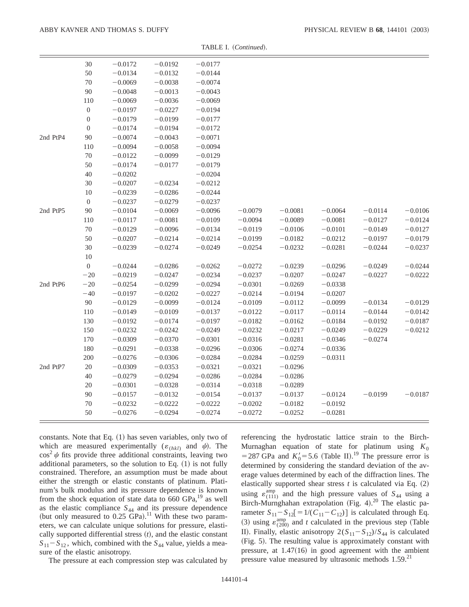|          | $30\,$           | $-0.0172$ | $-0.0192$ | $-0.0177$ |           |           |           |           |           |
|----------|------------------|-----------|-----------|-----------|-----------|-----------|-----------|-----------|-----------|
|          | $50\,$           | $-0.0134$ | $-0.0132$ | $-0.0144$ |           |           |           |           |           |
|          | $70\,$           | $-0.0069$ | $-0.0038$ | $-0.0074$ |           |           |           |           |           |
|          | 90               | $-0.0048$ | $-0.0013$ | $-0.0043$ |           |           |           |           |           |
|          | 110              | $-0.0069$ | $-0.0036$ | $-0.0069$ |           |           |           |           |           |
|          | $\boldsymbol{0}$ | $-0.0197$ | $-0.0227$ | $-0.0194$ |           |           |           |           |           |
|          | $\boldsymbol{0}$ | $-0.0179$ | $-0.0199$ | $-0.0177$ |           |           |           |           |           |
|          | $\boldsymbol{0}$ | $-0.0174$ | $-0.0194$ | $-0.0172$ |           |           |           |           |           |
| 2nd PtP4 | 90               | $-0.0074$ | $-0.0043$ | $-0.0071$ |           |           |           |           |           |
|          | 110              | $-0.0094$ | $-0.0058$ | $-0.0094$ |           |           |           |           |           |
|          | $70\,$           | $-0.0122$ | $-0.0099$ | $-0.0129$ |           |           |           |           |           |
|          | 50               | $-0.0174$ | $-0.0177$ | $-0.0179$ |           |           |           |           |           |
|          | $40\,$           | $-0.0202$ |           | $-0.0204$ |           |           |           |           |           |
|          | 30               | $-0.0207$ | $-0.0234$ | $-0.0212$ |           |           |           |           |           |
|          | $10\,$           | $-0.0239$ | $-0.0286$ | $-0.0244$ |           |           |           |           |           |
|          | $\boldsymbol{0}$ | $-0.0237$ | $-0.0279$ | $-0.0237$ |           |           |           |           |           |
| 2nd PtP5 | 90               | $-0.0104$ | $-0.0069$ | $-0.0096$ | $-0.0079$ | $-0.0081$ | $-0.0064$ | $-0.0114$ | $-0.0106$ |
|          | 110              | $-0.0117$ | $-0.0081$ | $-0.0109$ | $-0.0094$ | $-0.0089$ | $-0.0081$ | $-0.0127$ | $-0.0124$ |
|          | $70\,$           | $-0.0129$ | $-0.0096$ | $-0.0134$ | $-0.0119$ | $-0.0106$ | $-0.0101$ | $-0.0149$ | $-0.0127$ |
|          | $50\,$           | $-0.0207$ | $-0.0214$ | $-0.0214$ | $-0.0199$ | $-0.0182$ | $-0.0212$ | $-0.0197$ | $-0.0179$ |
|          | $30\,$           | $-0.0239$ | $-0.0274$ | $-0.0249$ | $-0.0254$ | $-0.0232$ | $-0.0281$ | $-0.0244$ | $-0.0237$ |
|          | 10               |           |           |           |           |           |           |           |           |
|          | $\mathbf{0}$     | $-0.0244$ | $-0.0286$ | $-0.0262$ | $-0.0272$ | $-0.0239$ | $-0.0296$ | $-0.0249$ | $-0.0244$ |
|          | $-20$            | $-0.0219$ | $-0.0247$ | $-0.0234$ | $-0.0237$ | $-0.0207$ | $-0.0247$ | $-0.0227$ | $-0.0222$ |
| 2nd PtP6 | $-20$            | $-0.0254$ | $-0.0299$ | $-0.0294$ | $-0.0301$ | $-0.0269$ | $-0.0338$ |           |           |
|          | $-40$            | $-0.0197$ | $-0.0202$ | $-0.0227$ | $-0.0214$ | $-0.0194$ | $-0.0207$ |           |           |
|          | 90               | $-0.0129$ | $-0.0099$ | $-0.0124$ | $-0.0109$ | $-0.0112$ | $-0.0099$ | $-0.0134$ | $-0.0129$ |
|          | 110              | $-0.0149$ | $-0.0109$ | $-0.0137$ | $-0.0122$ | $-0.0117$ | $-0.0114$ | $-0.0144$ | $-0.0142$ |
|          | 130              | $-0.0192$ | $-0.0174$ | $-0.0197$ | $-0.0182$ | $-0.0162$ | $-0.0184$ | $-0.0192$ | $-0.0187$ |
|          | 150              | $-0.0232$ | $-0.0242$ | $-0.0249$ | $-0.0232$ | $-0.0217$ | $-0.0249$ | $-0.0229$ | $-0.0212$ |
|          | 170              | $-0.0309$ | $-0.0370$ | $-0.0301$ | $-0.0316$ | $-0.0281$ | $-0.0346$ | $-0.0274$ |           |
|          | 180              | $-0.0291$ | $-0.0338$ | $-0.0296$ | $-0.0306$ | $-0.0274$ | $-0.0336$ |           |           |
|          | 200              | $-0.0276$ | $-0.0306$ | $-0.0284$ | $-0.0284$ | $-0.0259$ | $-0.0311$ |           |           |
| 2nd PtP7 | $20\,$           | $-0.0309$ | $-0.0353$ | $-0.0321$ | $-0.0321$ | $-0.0296$ |           |           |           |
|          | $40\,$           | $-0.0279$ | $-0.0294$ | $-0.0286$ | $-0.0284$ | $-0.0286$ |           |           |           |
|          | $20\,$           | $-0.0301$ | $-0.0328$ | $-0.0314$ | $-0.0318$ | $-0.0289$ |           |           |           |
|          | 90               | $-0.0157$ | $-0.0132$ | $-0.0154$ | $-0.0137$ | $-0.0137$ | $-0.0124$ | $-0.0199$ | $-0.0187$ |
|          | $70\,$           | $-0.0232$ | $-0.0222$ | $-0.0222$ | $-0.0202$ | $-0.0182$ | $-0.0192$ |           |           |
|          | 50               | $-0.0276$ | $-0.0294$ | $-0.0274$ | $-0.0272$ | $-0.0252$ | $-0.0281$ |           |           |

TABLE I. (Continued).

constants. Note that Eq.  $(1)$  has seven variables, only two of which are measured experimentally  $(\varepsilon_{(hkl)}$  and  $\psi$ ). The  $\cos^2 \psi$  fits provide three additional constraints, leaving two additional parameters, so the solution to Eq.  $(1)$  is not fully constrained. Therefore, an assumption must be made about either the strength or elastic constants of platinum. Platinum's bulk modulus and its pressure dependence is known from the shock equation of state data to  $660$  GPa, <sup>19</sup> as well as the elastic compliance *S*<sup>44</sup> and its pressure dependence (but only measured to  $0.25$  GPa).<sup>11</sup> With these two parameters, we can calculate unique solutions for pressure, elastically supported differential stress  $(t)$ , and the elastic constant  $S_{11} - S_{12}$ , which, combined with the  $S_{44}$  value, yields a measure of the elastic anisotropy.

The pressure at each compression step was calculated by

referencing the hydrostatic lattice strain to the Birch-Murnaghan equation of state for platinum using  $K_0$ = 287 GPa and  $K'_0$ = 5.6 (Table II).<sup>19</sup> The pressure error is determined by considering the standard deviation of the average values determined by each of the diffraction lines. The elastically supported shear stress  $t$  is calculated via Eq.  $(2)$ using  $\varepsilon_{(111)}^{amp}$  and the high pressure values of  $S_{44}$  using a Birch-Murnghahan extrapolation (Fig. 4). $^{20}$  The elastic parameter  $S_{11} - S_{12} = 1/(C_{11} - C_{12})$  is calculated through Eq. (3) using  $\varepsilon_{(200)}^{amp}$  and *t* calculated in the previous step (Table II). Finally, elastic anisotropy  $2(S_{11}-S_{12})/S_{44}$  is calculated (Fig. 5). The resulting value is approximately constant with pressure, at  $1.47(16)$  in good agreement with the ambient pressure value measured by ultrasonic methods  $1.59<sup>21</sup>$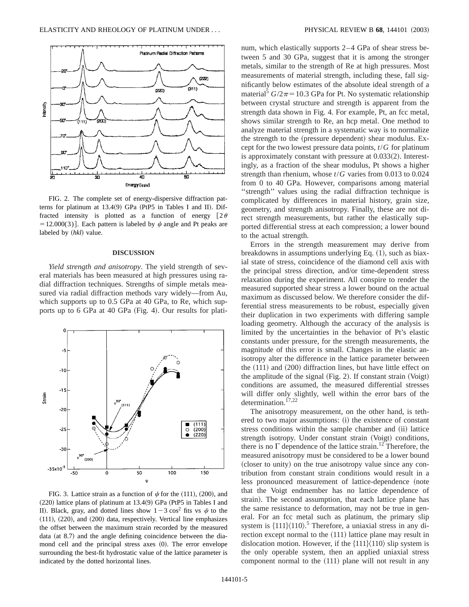

FIG. 2. The complete set of energy-dispersive diffraction patterns for platinum at  $13.4(9)$  GPa (PtP5 in Tables I and II). Diffracted intensity is plotted as a function of energy  $[2\theta]$ = 12.000(3)]. Each pattern is labeled by  $\psi$  angle and Pt peaks are labeled by  $(hkl)$  value.

### **DISCUSSION**

*Yield strength and anisotropy*. The yield strength of several materials has been measured at high pressures using radial diffraction techniques. Strengths of simple metals measured via radial diffraction methods vary widely—from Au, which supports up to 0.5 GPa at 40 GPa, to Re, which supports up to  $6$  GPa at  $40$  GPa (Fig. 4). Our results for plati-



FIG. 3. Lattice strain as a function of  $\psi$  for the (111), (200), and  $(220)$  lattice plans of platinum at 13.4 $(9)$  GPa (PtP5 in Tables I and II). Black, gray, and dotted lines show  $1-3 \cos^2 \theta$  fits vs  $\psi$  to the  $(111)$ ,  $(220)$ , and  $(200)$  data, respectively. Vertical line emphasizes the offset between the maximum strain recorded by the measured data (at  $8.7$ ) and the angle defining coincidence between the diamond cell and the principal stress axes  $(0)$ . The error envelope surrounding the best-fit hydrostatic value of the lattice parameter is indicated by the dotted horizontal lines.

num, which elastically supports 2–4 GPa of shear stress between 5 and 30 GPa, suggest that it is among the stronger metals, similar to the strength of Re at high pressures. Most measurements of material strength, including these, fall significantly below estimates of the absolute ideal strength of a material<sup>5</sup>  $G/2\pi$ =10.3 GPa for Pt. No systematic relationship between crystal structure and strength is apparent from the strength data shown in Fig. 4. For example, Pt, an fcc metal, shows similar strength to Re, an hcp metal. One method to analyze material strength in a systematic way is to normalize the strength to the (pressure dependent) shear modulus. Except for the two lowest pressure data points, *t*/*G* for platinum is approximately constant with pressure at  $0.033(2)$ . Interestingly, as a fraction of the shear modulus, Pt shows a higher strength than rhenium, whose *t*/*G* varies from 0.013 to 0.024 from 0 to 40 GPa. However, comparisons among material ''strength'' values using the radial diffraction technique is complicated by differences in material history, grain size, geometry, and strength anisotropy. Finally, these are not direct strength measurements, but rather the elastically supported differential stress at each compression; a lower bound to the actual strength.

Errors in the strength measurement may derive from breakdowns in assumptions underlying Eq.  $(1)$ , such as biaxial state of stress, coincidence of the diamond cell axis with the principal stress direction, and/or time-dependent stress relaxation during the experiment. All conspire to render the measured supported shear stress a lower bound on the actual maximum as discussed below. We therefore consider the differential stress measurements to be robust, especially given their duplication in two experiments with differing sample loading geometry. Although the accuracy of the analysis is limited by the uncertainties in the behavior of Pt's elastic constants under pressure, for the strength measurements, the magnitude of this error is small. Changes in the elastic anisotropy alter the difference in the lattice parameter between the  $(111)$  and  $(200)$  diffraction lines, but have little effect on the amplitude of the signal  $(Fig. 2)$ . If constant strain  $(Voigt)$ conditions are assumed, the measured differential stresses will differ only slightly, well within the error bars of the determination. $17,2$ 

The anisotropy measurement, on the other hand, is tethered to two major assumptions: (i) the existence of constant stress conditions within the sample chamber and (ii) lattice strength isotropy. Under constant strain (Voigt) conditions, there is no  $\Gamma$  dependence of the lattice strain.<sup>12</sup> Therefore, the measured anisotropy must be considered to be a lower bound (closer to unity) on the true anisotropy value since any contribution from constant strain conditions would result in a less pronounced measurement of lattice-dependence (note that the Voigt endmember has no lattice dependence of strain). The second assumption, that each lattice plane has the same resistance to deformation, may not be true in general. For an fcc metal such as platinum, the primary slip system is  $\{111\}\langle110\rangle$ .<sup>5</sup> Therefore, a uniaxial stress in any direction except normal to the  $(111)$  lattice plane may result in dislocation motion. However, if the  $\{111\}\langle110\rangle$  slip system is the only operable system, then an applied uniaxial stress component normal to the  $(111)$  plane will not result in any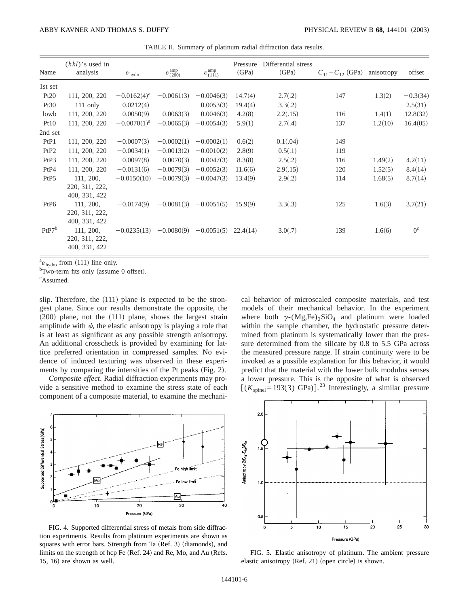TABLE II. Summary of platinum radial diffraction data results.

| Name             | $(hkl)$ 's used in<br>analysis               | $\varepsilon_{\text{hydro}}$ | $\varepsilon_{(200)}^{\text{amp}}$ | $\varepsilon_{(111)}^{\text{amp}}$ | Pressure<br>(GPa) | Differential stress<br>(GPa) | $C_{11} - C_{12}$ (GPa) anisotropy |         | offset      |
|------------------|----------------------------------------------|------------------------------|------------------------------------|------------------------------------|-------------------|------------------------------|------------------------------------|---------|-------------|
| 1st set          |                                              |                              |                                    |                                    |                   |                              |                                    |         |             |
| Pt20             | 111, 200, 220                                | $-0.0162(4)^{a}$             | $-0.0061(3)$                       | $-0.0046(3)$                       | 14.7(4)           | 2.7(0.2)                     | 147                                | 1.3(2)  | $-0.3(34)$  |
| Pt30             | $111$ only                                   | $-0.0212(4)$                 |                                    | $-0.0053(3)$                       | 19.4(4)           | 3.3(.2)                      |                                    |         | 2.5(31)     |
| lowb             | 111, 200, 220                                | $-0.0050(9)$                 | $-0.0063(3)$                       | $-0.0046(3)$                       | 4.2(8)            | 2.2(.15)                     | 116                                | 1.4(1)  | 12.8(32)    |
| Pt10             | 111, 200, 220                                | $-0.0070(1)^{a}$             | $-0.0065(3)$                       | $-0.0054(3)$                       | 5.9(1)            | 2.7(.4)                      | 137                                | 1.2(10) | 16.4(05)    |
| 2nd set          |                                              |                              |                                    |                                    |                   |                              |                                    |         |             |
| PtP1             | 111, 200, 220                                | $-0.0007(3)$                 | $-0.0002(1)$                       | $-0.0002(1)$                       | 0.6(2)            | 0.1(.04)                     | 149                                |         |             |
| PtP2             | 111, 200, 220                                | $-0.0034(1)$                 | $-0.0013(2)$                       | $-0.0010(2)$                       | 2.8(9)            | 0.5(.1)                      | 119                                |         |             |
| PtP3             | 111, 200, 220                                | $-0.0097(8)$                 | $-0.0070(3)$                       | $-0.0047(3)$                       | 8.3(8)            | 2.5(.2)                      | 116                                | 1.49(2) | 4.2(11)     |
| PtP4             | 111, 200, 220                                | $-0.0131(6)$                 | $-0.0079(3)$                       | $-0.0052(3)$                       | 11.6(6)           | 2.9(.15)                     | 120                                | 1.52(5) | 8.4(14)     |
| PtP <sub>5</sub> | 111, 200,                                    | $-0.0150(10)$                | $-0.0079(3)$                       | $-0.0047(3)$                       | 13.4(9)           | 2.9(.2)                      | 114                                | 1.68(5) | 8.7(14)     |
|                  | 220, 311, 222,<br>400, 331, 422              |                              |                                    |                                    |                   |                              |                                    |         |             |
| Pt <sub>P6</sub> | 111, 200,                                    | $-0.0174(9)$                 | $-0.0081(3)$                       | $-0.0051(5)$                       | 15.9(9)           | 3.3(.3)                      | 125                                | 1.6(3)  | 3.7(21)     |
|                  | 220, 311, 222,                               |                              |                                    |                                    |                   |                              |                                    |         |             |
|                  | 400, 331, 422                                |                              |                                    |                                    |                   |                              |                                    |         |             |
| $PtP7^b$         | 111, 200,<br>220, 311, 222,<br>400, 331, 422 | $-0.0235(13)$                | $-0.0080(9)$                       | $-0.0051(5)$                       | 22.4(14)          | 3.0(0.7)                     | 139                                | 1.6(6)  | $0^{\circ}$ |

 $a_{\varepsilon_{\text{hydro}}}$  from (111) line only.<br>
b<sub>Two-term</sub> fits only (assume

 ${}^{b}$ Two-term fits only (assume 0 offset).

c Assumed.

slip. Therefore, the  $(111)$  plane is expected to be the strongest plane. Since our results demonstrate the opposite, the  $(200)$  plane, not the  $(111)$  plane, shows the largest strain amplitude with  $\psi$ , the elastic anisotropy is playing a role that is at least as significant as any possible strength anisotropy. An additional crosscheck is provided by examining for lattice preferred orientation in compressed samples. No evidence of induced texturing was observed in these experiments by comparing the intensities of the Pt peaks  $(Fig. 2)$ .

*Composite effect*. Radial diffraction experiments may provide a sensitive method to examine the stress state of each component of a composite material, to examine the mechani-



FIG. 4. Supported differential stress of metals from side diffraction experiments. Results from platinum experiments are shown as squares with error bars. Strength from Ta (Ref. 3) (diamonds), and limits on the strength of hcp Fe (Ref. 24) and Re, Mo, and Au (Refs.  $15, 16$  are shown as well.

cal behavior of microscaled composite materials, and test models of their mechanical behavior. In the experiment where both  $\gamma$ -(Mg,Fe)<sub>2</sub>SiO<sub>4</sub> and platinum were loaded within the sample chamber, the hydrostatic pressure determined from platinum is systematically lower than the pressure determined from the silicate by 0.8 to 5.5 GPa across the measured pressure range. If strain continuity were to be invoked as a possible explanation for this behavior, it would predict that the material with the lower bulk modulus senses a lower pressure. This is the opposite of what is observed  $[(K<sub>spinel</sub> = 193(3) \text{ GPa})]^{23}$  Interestingly, a similar pressure



FIG. 5. Elastic anisotropy of platinum. The ambient pressure elastic anisotropy  $(Ref. 21)$  (open circle) is shown.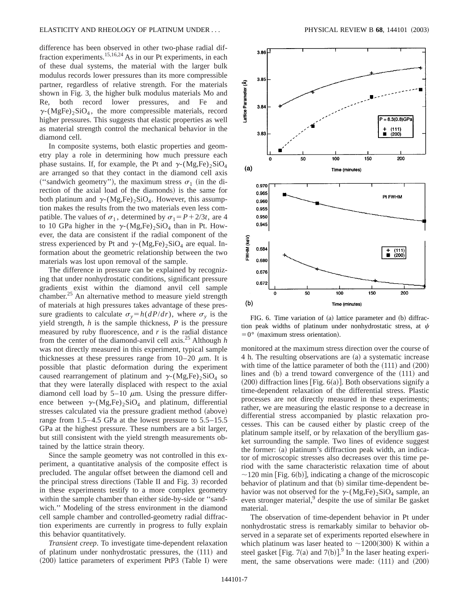difference has been observed in other two-phase radial diffraction experiments.<sup>15,16,24</sup> As in our Pt experiments, in each of these dual systems, the material with the larger bulk modulus records lower pressures than its more compressible partner, regardless of relative strength. For the materials shown in Fig. 3, the higher bulk modulus materials Mo and Re, both record lower pressures, and Fe and  $\gamma$ -(MgFe)<sub>2</sub>SiO<sub>4</sub>, the more compressible materials, record higher pressures. This suggests that elastic properties as well as material strength control the mechanical behavior in the diamond cell.

In composite systems, both elastic properties and geometry play a role in determining how much pressure each phase sustains. If, for example, the Pt and  $\gamma$ -(Mg,Fe)<sub>2</sub>SiO<sub>4</sub> are arranged so that they contact in the diamond cell axis ("sandwich geometry"), the maximum stress  $\sigma_1$  (in the direction of the axial load of the diamonds) is the same for both platinum and  $\gamma$ -(Mg,Fe)<sub>2</sub>SiO<sub>4</sub>. However, this assumption makes the results from the two materials even less compatible. The values of  $\sigma_1$ , determined by  $\sigma_1 = P + 2/3t$ , are 4 to 10 GPa higher in the  $\gamma$ -(Mg,Fe)<sub>2</sub>SiO<sub>4</sub> than in Pt. However, the data are consistent if the radial component of the stress experienced by Pt and  $\gamma$ -(Mg,Fe)<sub>2</sub>SiO<sub>4</sub> are equal. Information about the geometric relationship between the two materials was lost upon removal of the sample.

The difference in pressure can be explained by recognizing that under nonhydrostatic conditions, significant pressure gradients exist within the diamond anvil cell sample chamber.<sup>25</sup> An alternative method to measure yield strength of materials at high pressures takes advantage of these pressure gradients to calculate  $\sigma_y = h(dP/dr)$ , where  $\sigma_y$  is the yield strength, *h* is the sample thickness, *P* is the pressure measured by ruby fluorescence, and *r* is the radial distance from the center of the diamond-anvil cell axis.25 Although *h* was not directly measured in this experiment, typical sample thicknesses at these pressures range from  $10-20 \mu m$ . It is possible that plastic deformation during the experiment caused rearrangement of platinum and  $\gamma$ -(Mg,Fe)<sub>2</sub>SiO<sub>4</sub> so that they were laterally displaced with respect to the axial diamond cell load by  $5-10 \mu m$ . Using the pressure difference between  $\gamma$ -(Mg,Fe)<sub>2</sub>SiO<sub>4</sub> and platinum, differential stresses calculated via the pressure gradient method (above) range from 1.5–4.5 GPa at the lowest pressure to 5.5–15.5 GPa at the highest pressure. These numbers are a bit larger, but still consistent with the yield strength measurements obtained by the lattice strain theory.

Since the sample geometry was not controlled in this experiment, a quantitative analysis of the composite effect is precluded. The angular offset between the diamond cell and the principal stress directions (Table II and Fig. 3) recorded in these experiments testify to a more complex geometry within the sample chamber than either side-by-side or ''sandwich.'' Modeling of the stress environment in the diamond cell sample chamber and controlled-geometry radial diffraction experiments are currently in progress to fully explain this behavior quantitatively.

*Transient creep*. To investigate time-dependent relaxation of platinum under nonhydrostatic pressures, the  $(111)$  and  $(200)$  lattice parameters of experiment PtP3 (Table I) were



FIG. 6. Time variation of  $(a)$  lattice parameter and  $(b)$  diffraction peak widths of platinum under nonhydrostatic stress, at  $\psi$  $=0^{\circ}$  (maximum stress orientation).

monitored at the maximum stress direction over the course of 4 h. The resulting observations are (a) a systematic increase with time of the lattice parameter of both the  $(111)$  and  $(200)$ lines and  $(b)$  a trend toward convergence of the  $(111)$  and  $(200)$  diffraction lines [Fig. 6(a)]. Both observations signify a time-dependent relaxation of the differential stress. Plastic processes are not directly measured in these experiments; rather, we are measuring the elastic response to a decrease in differential stress accompanied by plastic relaxation processes. This can be caused either by plastic creep of the platinum sample itself, or by relaxation of the beryllium gasket surrounding the sample. Two lines of evidence suggest the former: (a) platinum's diffraction peak width, an indicator of microscopic stresses also decreases over this time period with the same characteristic relaxation time of about  $\sim$ 120 min [Fig. 6(b)], indicating a change of the microscopic behavior of platinum and that (b) similar time-dependent behavior was not observed for the  $\gamma$ -(Mg,Fe)<sub>2</sub>SiO<sub>4</sub> sample, an even stronger material,<sup>9</sup> despite the use of similar Be gasket material.

The observation of time-dependent behavior in Pt under nonhydrostatic stress is remarkably similar to behavior observed in a separate set of experiments reported elsewhere in which platinum was laser heated to  $\sim$ 1200(300) K within a steel gasket [Fig. 7(a) and 7(b)].<sup>9</sup> In the laser heating experiment, the same observations were made:  $(111)$  and  $(200)$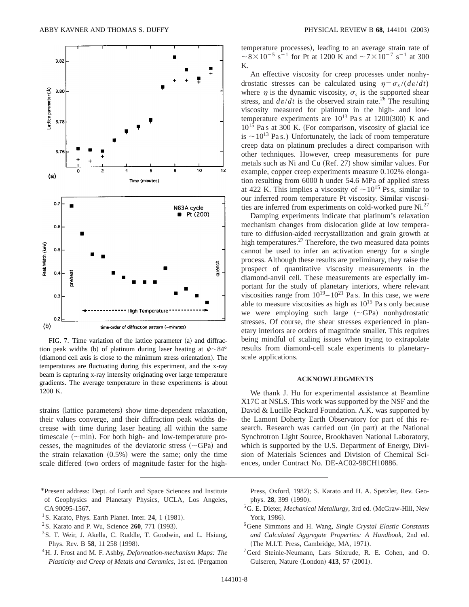

FIG. 7. Time variation of the lattice parameter  $(a)$  and diffraction peak widths (b) of platinum during laser heating at  $\psi \sim 84^{\circ}$ (diamond cell axis is close to the minimum stress orientation). The temperatures are fluctuating during this experiment, and the x-ray beam is capturing x-ray intensity originating over large temperature gradients. The average temperature in these experiments is about 1200 K.

strains (lattice parameters) show time-dependent relaxation, their values converge, and their diffraction peak widths decrease with time during laser heating all within the same timescale  $(\sim min)$ . For both high- and low-temperature processes, the magnitudes of the deviatoric stress  $({\sim}GPa)$  and the strain relaxation  $(0.5%)$  were the same; only the time scale differed (two orders of magnitude faster for the high-

- \*Present address: Dept. of Earth and Space Sciences and Institute of Geophysics and Planetary Physics, UCLA, Los Angeles, CA 90095-1567.
- <sup>1</sup> S. Karato, Phys. Earth Planet. Inter. **24**, 1  $(1981)$ .
- $2$ S. Karato and P. Wu, Science 260, 771 (1993).
- <sup>3</sup> S. T. Weir, J. Akella, C. Ruddle, T. Goodwin, and L. Hsiung, Phys. Rev. B 58, 11 258 (1998).
- 4H. J. Frost and M. F. Ashby, *Deformation-mechanism Maps: The Plasticity and Creep of Metals and Ceramics*, 1st ed. (Pergamon

temperature processes), leading to an average strain rate of  $\sim 8 \times 10^{-5}$  s<sup>-1</sup> for Pt at 1200 K and  $\sim 7 \times 10^{-7}$  s<sup>-1</sup> at 300 K.

An effective viscosity for creep processes under nonhydrostatic stresses can be calculated using  $\eta = \sigma_s / (d\varepsilon/dt)$ where  $\eta$  is the dynamic viscosity,  $\sigma_s$  is the supported shear stress, and  $d\epsilon/dt$  is the observed strain rate.<sup>26</sup> The resulting viscosity measured for platinum in the high- and lowtemperature experiments are  $10^{13}$  Pa s at  $1200(300)$  K and  $10^{15}$  Pa s at 300 K. (For comparison, viscosity of glacial ice is  $\sim$  10<sup>13</sup> Pa s.) Unfortunately, the lack of room temperature creep data on platinum precludes a direct comparison with other techniques. However, creep measurements for pure metals such as Ni and Cu (Ref. 27) show similar values. For example, copper creep experiments measure 0.102% elongation resulting from 6000 h under 54.6 MPa of applied stress at 422 K. This implies a viscosity of  $\sim 10^{15}$  Ps s, similar to our inferred room temperature Pt viscosity. Similar viscosities are inferred from experiments on cold-worked pure Ni.<sup>27</sup>

Damping experiments indicate that platinum's relaxation mechanism changes from dislocation glide at low temperature to diffusion-aided recrystallization and grain growth at high temperatures.<sup>27</sup> Therefore, the two measured data points cannot be used to infer an activation energy for a single process. Although these results are preliminary, they raise the prospect of quantitative viscosity measurements in the diamond-anvil cell. These measurements are especially important for the study of planetary interiors, where relevant viscosities range from  $10^{19} - 10^{21}$  Pa s. In this case, we were able to measure viscosities as high as  $10^{15}$  Pa s only because we were employing such large  $(\sim GPa)$  nonhydrostatic stresses. Of course, the shear stresses experienced in planetary interiors are orders of magnitude smaller. This requires being mindful of scaling issues when trying to extrapolate results from diamond-cell scale experiments to planetaryscale applications.

### **ACKNOWLEDGMENTS**

We thank J. Hu for experimental assistance at Beamline X17C at NSLS. This work was supported by the NSF and the David & Lucille Packard Foundation. A.K. was supported by the Lamont Doherty Earth Observatory for part of this research. Research was carried out (in part) at the National Synchrotron Light Source, Brookhaven National Laboratory, which is supported by the U.S. Department of Energy, Division of Materials Sciences and Division of Chemical Sciences, under Contract No. DE-AC02-98CH10886.

Press, Oxford, 1982); S. Karato and H. A. Spetzler, Rev. Geophys. **28**, 399 (1990).

- <sup>5</sup>G. E. Dieter, *Mechanical Metallurgy*, 3rd ed. (McGraw-Hill, New York, 1986).
- 6Gene Simmons and H. Wang, *Single Crystal Elastic Constants and Calculated Aggregate Properties: A Handbook*, 2nd ed. (The M.I.T. Press, Cambridge, MA, 1971).
- 7Gerd Steinle-Neumann, Lars Stixrude, R. E. Cohen, and O. Gulseren, Nature (London) 413, 57 (2001).